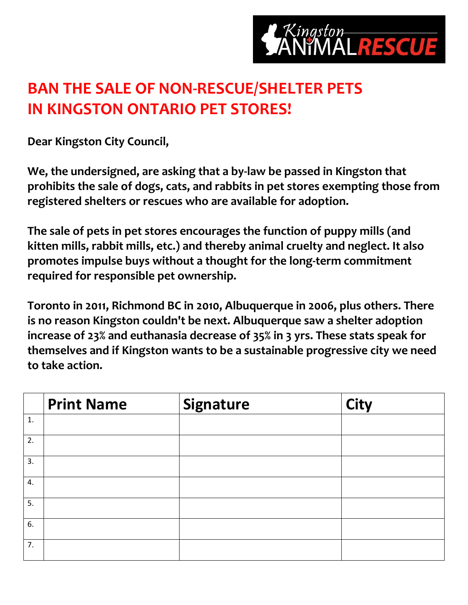

**Dear Kingston City Council,**

**We, the undersigned, are asking that a by‐law be passed in Kingston that prohibits the sale of dogs, cats, and rabbits in pet stores exempting those from registered shelters or rescues who are available for adoption.**

**The sale of pets in pet stores encourages the function of puppy mills (and kitten mills, rabbit mills, etc.) and thereby animal cruelty and neglect. It also promotes impulse buys without a thought for the long‐term commitment required for responsible pet ownership.**

|    | <b>Print Name</b> | <b>Signature</b> | <b>City</b> |
|----|-------------------|------------------|-------------|
| 1. |                   |                  |             |
| 2. |                   |                  |             |
| 3. |                   |                  |             |
| 4. |                   |                  |             |
| 5. |                   |                  |             |
| 6. |                   |                  |             |
| 7. |                   |                  |             |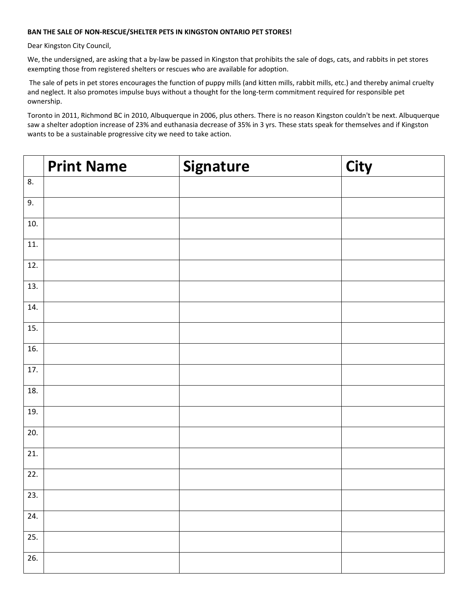Dear Kingston City Council,

We, the undersigned, are asking that a by-law be passed in Kingston that prohibits the sale of dogs, cats, and rabbits in pet stores exempting those from registered shelters or rescues who are available for adoption.

The sale of pets in pet stores encourages the function of puppy mills (and kitten mills, rabbit mills, etc.) and thereby animal cruelty and neglect. It also promotes impulse buys without a thought for the long-term commitment required for responsible pet ownership.

|       | <b>Print Name</b> | Signature | <b>City</b> |
|-------|-------------------|-----------|-------------|
| 8.    |                   |           |             |
| 9.    |                   |           |             |
| $10.$ |                   |           |             |
| 11.   |                   |           |             |
| 12.   |                   |           |             |
| 13.   |                   |           |             |
| 14.   |                   |           |             |
| 15.   |                   |           |             |
| 16.   |                   |           |             |
| $17.$ |                   |           |             |
| 18.   |                   |           |             |
| 19.   |                   |           |             |
| 20.   |                   |           |             |
| 21.   |                   |           |             |
| 22.   |                   |           |             |
| 23.   |                   |           |             |
| 24.   |                   |           |             |
| 25.   |                   |           |             |
| 26.   |                   |           |             |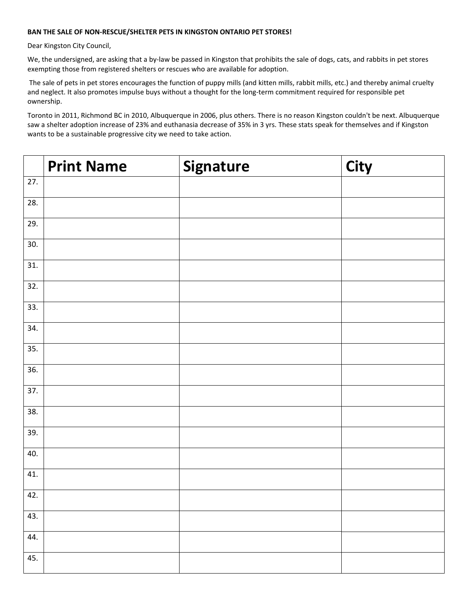Dear Kingston City Council,

We, the undersigned, are asking that a by-law be passed in Kingston that prohibits the sale of dogs, cats, and rabbits in pet stores exempting those from registered shelters or rescues who are available for adoption.

The sale of pets in pet stores encourages the function of puppy mills (and kitten mills, rabbit mills, etc.) and thereby animal cruelty and neglect. It also promotes impulse buys without a thought for the long-term commitment required for responsible pet ownership.

|     | <b>Print Name</b> | Signature | $\overline{City}$ |
|-----|-------------------|-----------|-------------------|
| 27. |                   |           |                   |
| 28. |                   |           |                   |
| 29. |                   |           |                   |
| 30. |                   |           |                   |
| 31. |                   |           |                   |
| 32. |                   |           |                   |
| 33. |                   |           |                   |
| 34. |                   |           |                   |
| 35. |                   |           |                   |
| 36. |                   |           |                   |
| 37. |                   |           |                   |
| 38. |                   |           |                   |
| 39. |                   |           |                   |
| 40. |                   |           |                   |
| 41. |                   |           |                   |
| 42. |                   |           |                   |
| 43. |                   |           |                   |
| 44. |                   |           |                   |
| 45. |                   |           |                   |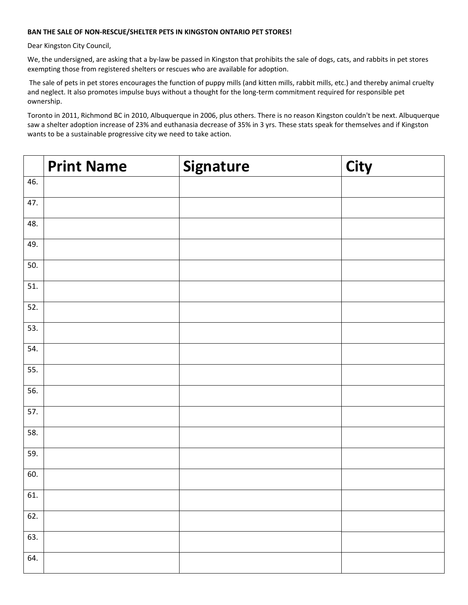Dear Kingston City Council,

We, the undersigned, are asking that a by-law be passed in Kingston that prohibits the sale of dogs, cats, and rabbits in pet stores exempting those from registered shelters or rescues who are available for adoption.

The sale of pets in pet stores encourages the function of puppy mills (and kitten mills, rabbit mills, etc.) and thereby animal cruelty and neglect. It also promotes impulse buys without a thought for the long-term commitment required for responsible pet ownership.

|                   | <b>Print Name</b> | Signature | <b>City</b> |
|-------------------|-------------------|-----------|-------------|
| 46.               |                   |           |             |
| 47.               |                   |           |             |
| 48.               |                   |           |             |
| 49.               |                   |           |             |
| 50.               |                   |           |             |
| 51.               |                   |           |             |
| 52.               |                   |           |             |
| 53.               |                   |           |             |
| 54.               |                   |           |             |
| 55.               |                   |           |             |
| 56.               |                   |           |             |
| 57.               |                   |           |             |
| 58.               |                   |           |             |
| $\overline{59}$ . |                   |           |             |
| 60.               |                   |           |             |
| 61.               |                   |           |             |
| 62.               |                   |           |             |
| 63.               |                   |           |             |
| 64.               |                   |           |             |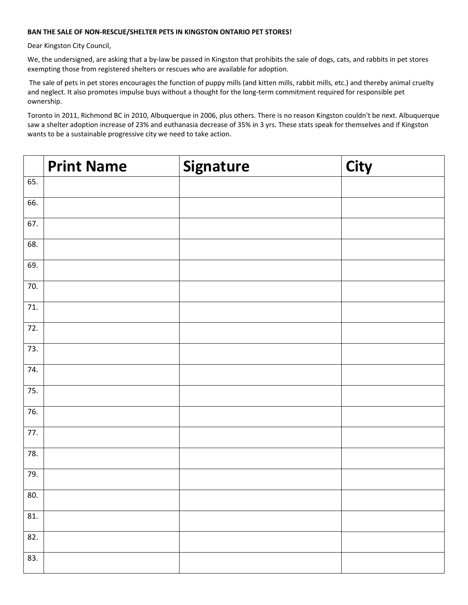Dear Kingston City Council,

We, the undersigned, are asking that a by-law be passed in Kingston that prohibits the sale of dogs, cats, and rabbits in pet stores exempting those from registered shelters or rescues who are available for adoption.

The sale of pets in pet stores encourages the function of puppy mills (and kitten mills, rabbit mills, etc.) and thereby animal cruelty and neglect. It also promotes impulse buys without a thought for the long-term commitment required for responsible pet ownership.

|       | <b>Print Name</b> | Signature | <b>City</b> |
|-------|-------------------|-----------|-------------|
| 65.   |                   |           |             |
| 66.   |                   |           |             |
| 67.   |                   |           |             |
| 68.   |                   |           |             |
| 69.   |                   |           |             |
| 70.   |                   |           |             |
| $71.$ |                   |           |             |
| 72.   |                   |           |             |
| 73.   |                   |           |             |
| 74.   |                   |           |             |
| 75.   |                   |           |             |
| 76.   |                   |           |             |
| 77.   |                   |           |             |
| 78.   |                   |           |             |
| 79.   |                   |           |             |
| 80.   |                   |           |             |
| 81.   |                   |           |             |
| 82.   |                   |           |             |
| 83.   |                   |           |             |